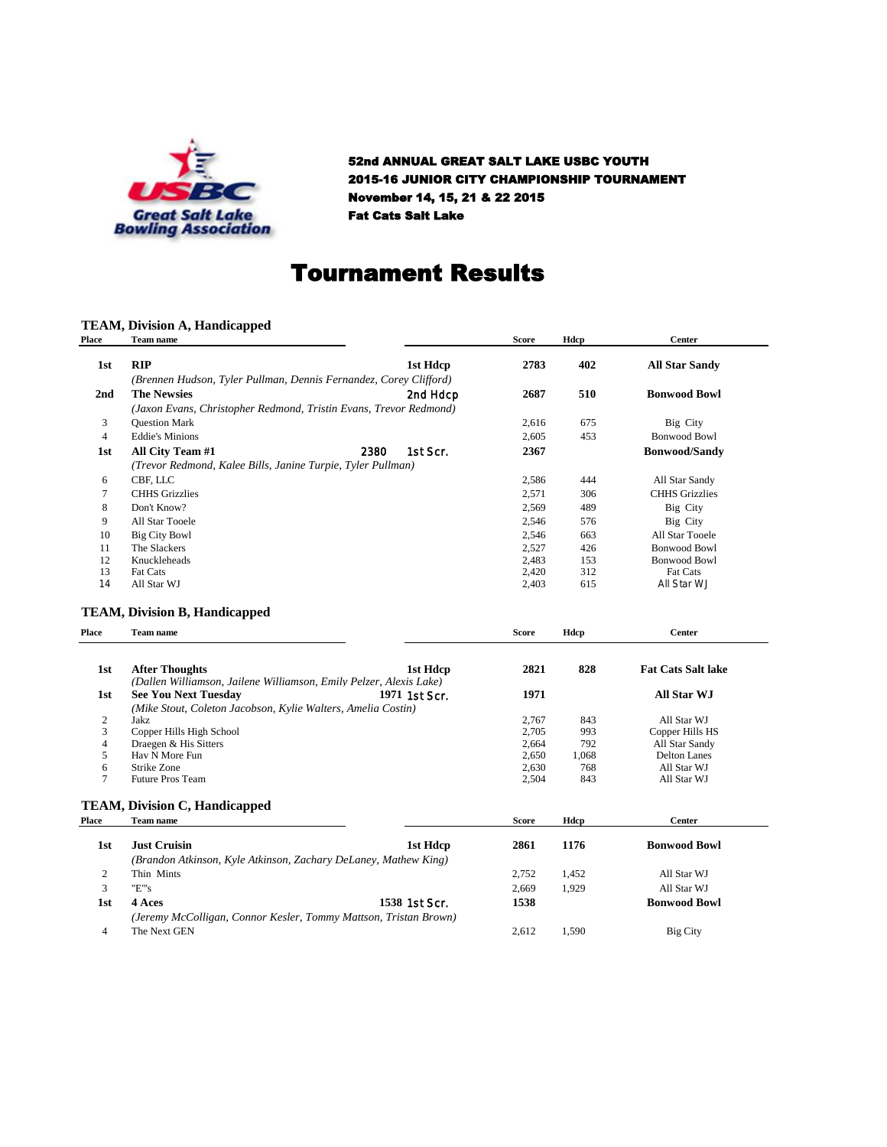

52nd ANNUAL GREAT SALT LAKE USBC YOUTH 2015-16 JUNIOR CITY CHAMPIONSHIP TOURNAMENT November 14, 15, 21 & 22 2015 Fat Cats Salt Lake

### Tournament Results

### **TEAM, Division A, Handicapped**

| <b>RIP</b><br>1st Hdcp<br>2783<br>402<br><b>All Star Sandy</b><br>1st<br>(Brennen Hudson, Tyler Pullman, Dennis Fernandez, Corey Clifford)<br><b>The Newsies</b><br>2687<br>510<br><b>Bonwood Bowl</b><br>2nd<br>2nd Hdcp<br>(Jaxon Evans, Christopher Redmond, Tristin Evans, Trevor Redmond)<br><b>Ouestion Mark</b><br>3<br>2,616<br>675<br>Big City<br>$\overline{4}$<br><b>Eddie's Minions</b><br>453<br><b>Bonwood Bowl</b><br>2,605<br>1st Scr.<br>2367<br>All City Team #1<br>2380<br><b>Bonwood/Sandy</b><br>1st<br>(Trevor Redmond, Kalee Bills, Janine Turpie, Tyler Pullman)<br>CBF, LLC<br>2,586<br>444<br>All Star Sandy<br>6<br>$\tau$<br><b>CHHS</b> Grizzlies<br>2,571<br>306<br><b>CHHS</b> Grizzlies<br>8<br>Don't Know?<br>2,569<br>489<br>Big City<br>9<br>All Star Tooele<br>2,546<br>576<br>Big City<br>2,546<br>663<br>All Star Tooele<br>10<br><b>Big City Bowl</b><br>2,527<br>11<br>The Slackers<br>426<br><b>Bonwood Bowl</b><br>12<br>Knuckleheads<br>2,483<br>153<br><b>Bonwood Bowl</b><br>13<br>Fat Cats<br>2,420<br>312<br><b>Fat Cats</b><br>615<br>14<br>All Star WJ<br>2,403<br>All Star WJ<br>Team name<br><b>Score</b><br>Hdcp<br>Center<br><b>After Thoughts</b><br>2821<br>828<br><b>Fat Cats Salt lake</b><br>1st<br>1st Hdcp<br>(Dallen Williamson, Jailene Williamson, Emily Pelzer, Alexis Lake)<br><b>See You Next Tuesday</b><br>1971 1st Scr.<br>1971<br>All Star WJ<br>1st<br>(Mike Stout, Coleton Jacobson, Kylie Walters, Amelia Costin)<br>$\overline{c}$<br>2.767<br>843<br>All Star WJ<br>Jakz<br>3<br>Copper Hills High School<br>2,705<br>993<br>Copper Hills HS<br>$\overline{4}$<br>Draegen & His Sitters<br>2,664<br>792<br>All Star Sandy<br>5<br>Hav N More Fun<br>2,650<br>1,068<br><b>Delton Lanes</b><br>6<br>Strike Zone<br>2,630<br>768<br>All Star WJ<br>7<br><b>Future Pros Team</b><br>843<br>2,504<br>All Star WJ<br><b>Team name</b><br>Hdcp<br>Center<br><b>Score</b><br><b>Just Cruisin</b><br>1st Hdcp<br>1176<br><b>Bonwood Bowl</b><br>1st<br>2861<br>(Brandon Atkinson, Kyle Atkinson, Zachary DeLaney, Mathew King)<br>2<br>Thin Mints<br>2,752<br>1,452<br>All Star WJ<br>"E"'s<br>3<br>2,669<br>1,929<br>All Star WJ<br>1538 1st Scr. | <b>Place</b> | Team name | <b>Score</b> | Hdcp | <b>Center</b>       |  |
|----------------------------------------------------------------------------------------------------------------------------------------------------------------------------------------------------------------------------------------------------------------------------------------------------------------------------------------------------------------------------------------------------------------------------------------------------------------------------------------------------------------------------------------------------------------------------------------------------------------------------------------------------------------------------------------------------------------------------------------------------------------------------------------------------------------------------------------------------------------------------------------------------------------------------------------------------------------------------------------------------------------------------------------------------------------------------------------------------------------------------------------------------------------------------------------------------------------------------------------------------------------------------------------------------------------------------------------------------------------------------------------------------------------------------------------------------------------------------------------------------------------------------------------------------------------------------------------------------------------------------------------------------------------------------------------------------------------------------------------------------------------------------------------------------------------------------------------------------------------------------------------------------------------------------------------------------------------------------------------------------------------------------------------------------------------------------------------------------------------------------------------------------------------------------------------------------------------------|--------------|-----------|--------------|------|---------------------|--|
| <b>TEAM, Division B, Handicapped</b><br>Place<br><b>TEAM, Division C, Handicapped</b><br>Place                                                                                                                                                                                                                                                                                                                                                                                                                                                                                                                                                                                                                                                                                                                                                                                                                                                                                                                                                                                                                                                                                                                                                                                                                                                                                                                                                                                                                                                                                                                                                                                                                                                                                                                                                                                                                                                                                                                                                                                                                                                                                                                       |              |           |              |      |                     |  |
|                                                                                                                                                                                                                                                                                                                                                                                                                                                                                                                                                                                                                                                                                                                                                                                                                                                                                                                                                                                                                                                                                                                                                                                                                                                                                                                                                                                                                                                                                                                                                                                                                                                                                                                                                                                                                                                                                                                                                                                                                                                                                                                                                                                                                      |              |           |              |      |                     |  |
|                                                                                                                                                                                                                                                                                                                                                                                                                                                                                                                                                                                                                                                                                                                                                                                                                                                                                                                                                                                                                                                                                                                                                                                                                                                                                                                                                                                                                                                                                                                                                                                                                                                                                                                                                                                                                                                                                                                                                                                                                                                                                                                                                                                                                      |              |           |              |      |                     |  |
|                                                                                                                                                                                                                                                                                                                                                                                                                                                                                                                                                                                                                                                                                                                                                                                                                                                                                                                                                                                                                                                                                                                                                                                                                                                                                                                                                                                                                                                                                                                                                                                                                                                                                                                                                                                                                                                                                                                                                                                                                                                                                                                                                                                                                      |              |           |              |      |                     |  |
|                                                                                                                                                                                                                                                                                                                                                                                                                                                                                                                                                                                                                                                                                                                                                                                                                                                                                                                                                                                                                                                                                                                                                                                                                                                                                                                                                                                                                                                                                                                                                                                                                                                                                                                                                                                                                                                                                                                                                                                                                                                                                                                                                                                                                      |              |           |              |      |                     |  |
|                                                                                                                                                                                                                                                                                                                                                                                                                                                                                                                                                                                                                                                                                                                                                                                                                                                                                                                                                                                                                                                                                                                                                                                                                                                                                                                                                                                                                                                                                                                                                                                                                                                                                                                                                                                                                                                                                                                                                                                                                                                                                                                                                                                                                      |              |           |              |      |                     |  |
|                                                                                                                                                                                                                                                                                                                                                                                                                                                                                                                                                                                                                                                                                                                                                                                                                                                                                                                                                                                                                                                                                                                                                                                                                                                                                                                                                                                                                                                                                                                                                                                                                                                                                                                                                                                                                                                                                                                                                                                                                                                                                                                                                                                                                      |              |           |              |      |                     |  |
|                                                                                                                                                                                                                                                                                                                                                                                                                                                                                                                                                                                                                                                                                                                                                                                                                                                                                                                                                                                                                                                                                                                                                                                                                                                                                                                                                                                                                                                                                                                                                                                                                                                                                                                                                                                                                                                                                                                                                                                                                                                                                                                                                                                                                      |              |           |              |      |                     |  |
|                                                                                                                                                                                                                                                                                                                                                                                                                                                                                                                                                                                                                                                                                                                                                                                                                                                                                                                                                                                                                                                                                                                                                                                                                                                                                                                                                                                                                                                                                                                                                                                                                                                                                                                                                                                                                                                                                                                                                                                                                                                                                                                                                                                                                      |              |           |              |      |                     |  |
|                                                                                                                                                                                                                                                                                                                                                                                                                                                                                                                                                                                                                                                                                                                                                                                                                                                                                                                                                                                                                                                                                                                                                                                                                                                                                                                                                                                                                                                                                                                                                                                                                                                                                                                                                                                                                                                                                                                                                                                                                                                                                                                                                                                                                      |              |           |              |      |                     |  |
|                                                                                                                                                                                                                                                                                                                                                                                                                                                                                                                                                                                                                                                                                                                                                                                                                                                                                                                                                                                                                                                                                                                                                                                                                                                                                                                                                                                                                                                                                                                                                                                                                                                                                                                                                                                                                                                                                                                                                                                                                                                                                                                                                                                                                      |              |           |              |      |                     |  |
|                                                                                                                                                                                                                                                                                                                                                                                                                                                                                                                                                                                                                                                                                                                                                                                                                                                                                                                                                                                                                                                                                                                                                                                                                                                                                                                                                                                                                                                                                                                                                                                                                                                                                                                                                                                                                                                                                                                                                                                                                                                                                                                                                                                                                      |              |           |              |      |                     |  |
|                                                                                                                                                                                                                                                                                                                                                                                                                                                                                                                                                                                                                                                                                                                                                                                                                                                                                                                                                                                                                                                                                                                                                                                                                                                                                                                                                                                                                                                                                                                                                                                                                                                                                                                                                                                                                                                                                                                                                                                                                                                                                                                                                                                                                      |              |           |              |      |                     |  |
|                                                                                                                                                                                                                                                                                                                                                                                                                                                                                                                                                                                                                                                                                                                                                                                                                                                                                                                                                                                                                                                                                                                                                                                                                                                                                                                                                                                                                                                                                                                                                                                                                                                                                                                                                                                                                                                                                                                                                                                                                                                                                                                                                                                                                      |              |           |              |      |                     |  |
|                                                                                                                                                                                                                                                                                                                                                                                                                                                                                                                                                                                                                                                                                                                                                                                                                                                                                                                                                                                                                                                                                                                                                                                                                                                                                                                                                                                                                                                                                                                                                                                                                                                                                                                                                                                                                                                                                                                                                                                                                                                                                                                                                                                                                      |              |           |              |      |                     |  |
|                                                                                                                                                                                                                                                                                                                                                                                                                                                                                                                                                                                                                                                                                                                                                                                                                                                                                                                                                                                                                                                                                                                                                                                                                                                                                                                                                                                                                                                                                                                                                                                                                                                                                                                                                                                                                                                                                                                                                                                                                                                                                                                                                                                                                      |              |           |              |      |                     |  |
|                                                                                                                                                                                                                                                                                                                                                                                                                                                                                                                                                                                                                                                                                                                                                                                                                                                                                                                                                                                                                                                                                                                                                                                                                                                                                                                                                                                                                                                                                                                                                                                                                                                                                                                                                                                                                                                                                                                                                                                                                                                                                                                                                                                                                      |              |           |              |      |                     |  |
|                                                                                                                                                                                                                                                                                                                                                                                                                                                                                                                                                                                                                                                                                                                                                                                                                                                                                                                                                                                                                                                                                                                                                                                                                                                                                                                                                                                                                                                                                                                                                                                                                                                                                                                                                                                                                                                                                                                                                                                                                                                                                                                                                                                                                      |              |           |              |      |                     |  |
|                                                                                                                                                                                                                                                                                                                                                                                                                                                                                                                                                                                                                                                                                                                                                                                                                                                                                                                                                                                                                                                                                                                                                                                                                                                                                                                                                                                                                                                                                                                                                                                                                                                                                                                                                                                                                                                                                                                                                                                                                                                                                                                                                                                                                      |              |           |              |      |                     |  |
|                                                                                                                                                                                                                                                                                                                                                                                                                                                                                                                                                                                                                                                                                                                                                                                                                                                                                                                                                                                                                                                                                                                                                                                                                                                                                                                                                                                                                                                                                                                                                                                                                                                                                                                                                                                                                                                                                                                                                                                                                                                                                                                                                                                                                      |              |           |              |      |                     |  |
|                                                                                                                                                                                                                                                                                                                                                                                                                                                                                                                                                                                                                                                                                                                                                                                                                                                                                                                                                                                                                                                                                                                                                                                                                                                                                                                                                                                                                                                                                                                                                                                                                                                                                                                                                                                                                                                                                                                                                                                                                                                                                                                                                                                                                      |              |           |              |      |                     |  |
|                                                                                                                                                                                                                                                                                                                                                                                                                                                                                                                                                                                                                                                                                                                                                                                                                                                                                                                                                                                                                                                                                                                                                                                                                                                                                                                                                                                                                                                                                                                                                                                                                                                                                                                                                                                                                                                                                                                                                                                                                                                                                                                                                                                                                      |              |           |              |      |                     |  |
|                                                                                                                                                                                                                                                                                                                                                                                                                                                                                                                                                                                                                                                                                                                                                                                                                                                                                                                                                                                                                                                                                                                                                                                                                                                                                                                                                                                                                                                                                                                                                                                                                                                                                                                                                                                                                                                                                                                                                                                                                                                                                                                                                                                                                      |              |           |              |      |                     |  |
|                                                                                                                                                                                                                                                                                                                                                                                                                                                                                                                                                                                                                                                                                                                                                                                                                                                                                                                                                                                                                                                                                                                                                                                                                                                                                                                                                                                                                                                                                                                                                                                                                                                                                                                                                                                                                                                                                                                                                                                                                                                                                                                                                                                                                      |              |           |              |      |                     |  |
|                                                                                                                                                                                                                                                                                                                                                                                                                                                                                                                                                                                                                                                                                                                                                                                                                                                                                                                                                                                                                                                                                                                                                                                                                                                                                                                                                                                                                                                                                                                                                                                                                                                                                                                                                                                                                                                                                                                                                                                                                                                                                                                                                                                                                      |              |           |              |      |                     |  |
|                                                                                                                                                                                                                                                                                                                                                                                                                                                                                                                                                                                                                                                                                                                                                                                                                                                                                                                                                                                                                                                                                                                                                                                                                                                                                                                                                                                                                                                                                                                                                                                                                                                                                                                                                                                                                                                                                                                                                                                                                                                                                                                                                                                                                      |              |           |              |      |                     |  |
|                                                                                                                                                                                                                                                                                                                                                                                                                                                                                                                                                                                                                                                                                                                                                                                                                                                                                                                                                                                                                                                                                                                                                                                                                                                                                                                                                                                                                                                                                                                                                                                                                                                                                                                                                                                                                                                                                                                                                                                                                                                                                                                                                                                                                      |              |           |              |      |                     |  |
|                                                                                                                                                                                                                                                                                                                                                                                                                                                                                                                                                                                                                                                                                                                                                                                                                                                                                                                                                                                                                                                                                                                                                                                                                                                                                                                                                                                                                                                                                                                                                                                                                                                                                                                                                                                                                                                                                                                                                                                                                                                                                                                                                                                                                      |              |           |              |      |                     |  |
|                                                                                                                                                                                                                                                                                                                                                                                                                                                                                                                                                                                                                                                                                                                                                                                                                                                                                                                                                                                                                                                                                                                                                                                                                                                                                                                                                                                                                                                                                                                                                                                                                                                                                                                                                                                                                                                                                                                                                                                                                                                                                                                                                                                                                      |              |           |              |      |                     |  |
|                                                                                                                                                                                                                                                                                                                                                                                                                                                                                                                                                                                                                                                                                                                                                                                                                                                                                                                                                                                                                                                                                                                                                                                                                                                                                                                                                                                                                                                                                                                                                                                                                                                                                                                                                                                                                                                                                                                                                                                                                                                                                                                                                                                                                      |              |           |              |      |                     |  |
|                                                                                                                                                                                                                                                                                                                                                                                                                                                                                                                                                                                                                                                                                                                                                                                                                                                                                                                                                                                                                                                                                                                                                                                                                                                                                                                                                                                                                                                                                                                                                                                                                                                                                                                                                                                                                                                                                                                                                                                                                                                                                                                                                                                                                      |              |           |              |      |                     |  |
|                                                                                                                                                                                                                                                                                                                                                                                                                                                                                                                                                                                                                                                                                                                                                                                                                                                                                                                                                                                                                                                                                                                                                                                                                                                                                                                                                                                                                                                                                                                                                                                                                                                                                                                                                                                                                                                                                                                                                                                                                                                                                                                                                                                                                      |              |           |              |      |                     |  |
|                                                                                                                                                                                                                                                                                                                                                                                                                                                                                                                                                                                                                                                                                                                                                                                                                                                                                                                                                                                                                                                                                                                                                                                                                                                                                                                                                                                                                                                                                                                                                                                                                                                                                                                                                                                                                                                                                                                                                                                                                                                                                                                                                                                                                      |              |           |              |      |                     |  |
|                                                                                                                                                                                                                                                                                                                                                                                                                                                                                                                                                                                                                                                                                                                                                                                                                                                                                                                                                                                                                                                                                                                                                                                                                                                                                                                                                                                                                                                                                                                                                                                                                                                                                                                                                                                                                                                                                                                                                                                                                                                                                                                                                                                                                      |              |           |              |      |                     |  |
|                                                                                                                                                                                                                                                                                                                                                                                                                                                                                                                                                                                                                                                                                                                                                                                                                                                                                                                                                                                                                                                                                                                                                                                                                                                                                                                                                                                                                                                                                                                                                                                                                                                                                                                                                                                                                                                                                                                                                                                                                                                                                                                                                                                                                      |              |           |              |      |                     |  |
|                                                                                                                                                                                                                                                                                                                                                                                                                                                                                                                                                                                                                                                                                                                                                                                                                                                                                                                                                                                                                                                                                                                                                                                                                                                                                                                                                                                                                                                                                                                                                                                                                                                                                                                                                                                                                                                                                                                                                                                                                                                                                                                                                                                                                      | 1st          | 4 Aces    | 1538         |      | <b>Bonwood Bowl</b> |  |
| (Jeremy McColligan, Connor Kesler, Tommy Mattson, Tristan Brown)                                                                                                                                                                                                                                                                                                                                                                                                                                                                                                                                                                                                                                                                                                                                                                                                                                                                                                                                                                                                                                                                                                                                                                                                                                                                                                                                                                                                                                                                                                                                                                                                                                                                                                                                                                                                                                                                                                                                                                                                                                                                                                                                                     |              |           |              |      |                     |  |
| The Next GEN<br>2,612<br>$\overline{4}$<br>1,590<br><b>Big City</b>                                                                                                                                                                                                                                                                                                                                                                                                                                                                                                                                                                                                                                                                                                                                                                                                                                                                                                                                                                                                                                                                                                                                                                                                                                                                                                                                                                                                                                                                                                                                                                                                                                                                                                                                                                                                                                                                                                                                                                                                                                                                                                                                                  |              |           |              |      |                     |  |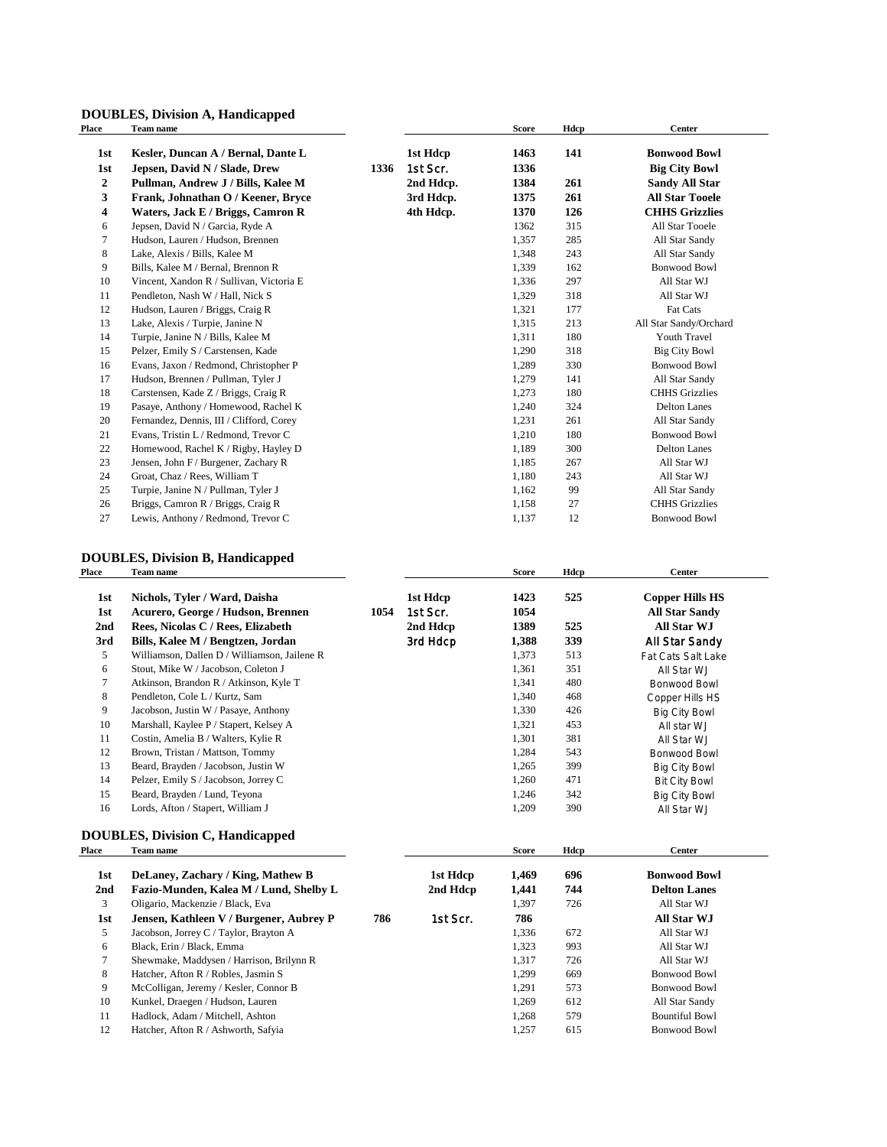### **DOUBLES, Division A, Handicapped**

| Place            | Team name                                |      |           | <b>Score</b> | Hdcp | <b>Center</b>          |
|------------------|------------------------------------------|------|-----------|--------------|------|------------------------|
| 1st              | Kesler, Duncan A / Bernal, Dante L       |      | 1st Hdcp  | 1463         | 141  | <b>Bonwood Bowl</b>    |
| 1st              | Jepsen, David N / Slade, Drew            | 1336 | 1st Scr.  | 1336         |      | <b>Big City Bowl</b>   |
| $\boldsymbol{2}$ | Pullman, Andrew J / Bills, Kalee M       |      | 2nd Hdcp. | 1384         | 261  | <b>Sandy All Star</b>  |
| 3                | Frank, Johnathan O / Keener, Bryce       |      | 3rd Hdcp. | 1375         | 261  | <b>All Star Tooele</b> |
| 4                | Waters, Jack E / Briggs, Camron R        |      | 4th Hdcp. | 1370         | 126  | <b>CHHS Grizzlies</b>  |
| 6                | Jepsen, David N / Garcia, Ryde A         |      |           | 1362         | 315  | All Star Tooele        |
| 7                | Hudson, Lauren / Hudson, Brennen         |      |           | 1,357        | 285  | All Star Sandy         |
| 8                | Lake, Alexis / Bills, Kalee M            |      |           | 1,348        | 243  | All Star Sandy         |
| 9                | Bills, Kalee M / Bernal, Brennon R       |      |           | 1,339        | 162  | <b>Bonwood Bowl</b>    |
| 10               | Vincent, Xandon R / Sullivan, Victoria E |      |           | 1,336        | 297  | All Star WJ            |
| 11               | Pendleton, Nash W / Hall, Nick S         |      |           | 1,329        | 318  | All Star WJ            |
| 12               | Hudson, Lauren / Briggs, Craig R         |      |           | 1,321        | 177  | Fat Cats               |
| 13               | Lake, Alexis / Turpie, Janine N          |      |           | 1,315        | 213  | All Star Sandy/Orchard |
| 14               | Turpie, Janine N / Bills, Kalee M        |      |           | 1,311        | 180  | Youth Travel           |
| 15               | Pelzer, Emily S / Carstensen, Kade       |      |           | 1,290        | 318  | <b>Big City Bowl</b>   |
| 16               | Evans, Jaxon / Redmond, Christopher P    |      |           | 1,289        | 330  | <b>Bonwood Bowl</b>    |
| 17               | Hudson, Brennen / Pullman, Tyler J       |      |           | 1,279        | 141  | All Star Sandy         |
| 18               | Carstensen, Kade Z / Briggs, Craig R     |      |           | 1,273        | 180  | <b>CHHS</b> Grizzlies  |
| 19               | Pasaye, Anthony / Homewood, Rachel K     |      |           | 1,240        | 324  | <b>Delton Lanes</b>    |
| 20               | Fernandez, Dennis, III / Clifford, Corey |      |           | 1,231        | 261  | All Star Sandy         |
| 21               | Evans, Tristin L / Redmond, Trevor C     |      |           | 1,210        | 180  | <b>Bonwood Bowl</b>    |
| 22               | Homewood, Rachel K / Rigby, Hayley D     |      |           | 1,189        | 300  | <b>Delton Lanes</b>    |
| 23               | Jensen, John F / Burgener, Zachary R     |      |           | 1,185        | 267  | All Star WJ            |
| 24               | Groat, Chaz / Rees, William T            |      |           | 1,180        | 243  | All Star WJ            |
| 25               | Turpie, Janine N / Pullman, Tyler J      |      |           | 1,162        | 99   | All Star Sandy         |
| 26               | Briggs, Camron R / Briggs, Craig R       |      |           | 1,158        | 27   | <b>CHHS</b> Grizzlies  |
| 27               | Lewis, Anthony / Redmond, Trevor C       |      |           | 1,137        | 12   | <b>Bonwood Bowl</b>    |

### **DOUBLES, Division B, Handicapped**

| Place | Team name                                    |      |          | <b>Score</b> | Hdcp | Center                 |
|-------|----------------------------------------------|------|----------|--------------|------|------------------------|
| 1st   | Nichols, Tyler / Ward, Daisha                |      | 1st Hdcp | 1423         | 525  | <b>Copper Hills HS</b> |
| 1st   | Acurero, George / Hudson, Brennen            | 1054 | 1st Scr. | 1054         |      | <b>All Star Sandy</b>  |
| 2nd   | Rees, Nicolas C / Rees, Elizabeth            |      | 2nd Hdcp | 1389         | 525  | <b>All Star WJ</b>     |
| 3rd   | Bills, Kalee M / Bengtzen, Jordan            |      | 3rd Hdcp | 1,388        | 339  | All Star Sandy         |
| 5     | Williamson, Dallen D / Williamson, Jailene R |      |          | 1,373        | 513  | Fat Cats Salt Lake     |
| 6     | Stout, Mike W / Jacobson, Coleton J          |      |          | 1,361        | 351  | All Star WJ            |
| 7     | Atkinson, Brandon R / Atkinson, Kyle T       |      |          | 1,341        | 480  | Bonwood Bowl           |
| 8     | Pendleton, Cole L / Kurtz, Sam               |      |          | 1,340        | 468  | Copper Hills HS        |
| 9     | Jacobson, Justin W / Pasaye, Anthony         |      |          | 1,330        | 426  | <b>Big City Bowl</b>   |
| 10    | Marshall, Kaylee P / Stapert, Kelsey A       |      |          | 1,321        | 453  | All star WJ            |
| 11    | Costin, Amelia B / Walters, Kylie R          |      |          | 1,301        | 381  | All Star WJ            |
| 12    | Brown, Tristan / Mattson, Tommy              |      |          | 1,284        | 543  | <b>Bonwood Bowl</b>    |
| 13    | Beard, Brayden / Jacobson, Justin W          |      |          | 1,265        | 399  | <b>Big City Bowl</b>   |
| 14    | Pelzer, Emily S / Jacobson, Jorrey C         |      |          | 1,260        | 471  | <b>Bit City Bowl</b>   |
| 15    | Beard, Brayden / Lund, Teyona                |      |          | 1,246        | 342  | <b>Big City Bowl</b>   |
| 16    | Lords, Afton / Stapert, William J            |      |          | 1,209        | 390  | All Star WJ            |
|       | <b>DOUBLES, Division C, Handicapped</b>      |      |          |              |      |                        |
| Place | <b>Team name</b>                             |      |          | <b>Score</b> | Hdcp | Center                 |
| 1st   | DeLaney, Zachary / King, Mathew B            |      | 1st Hdcp | 1,469        | 696  | <b>Bonwood Bowl</b>    |
| 2nd   | Fazio-Munden, Kalea M / Lund, Shelby L       |      | 2nd Hdcp | 1,441        | 744  | <b>Delton Lanes</b>    |
| 3     | Oligario, Mackenzie / Black, Eva             |      |          | 1,397        | 726  | All Star WJ            |
| 1st   | Jensen, Kathleen V / Burgener, Aubrey P      | 786  | 1st Scr. | 786          |      | <b>All Star WJ</b>     |
| 5     | Jacobson, Jorrey C / Taylor, Brayton A       |      |          | 1,336        | 672  | All Star WJ            |
| 6     | Black, Erin / Black, Emma                    |      |          | 1,323        | 993  | All Star WJ            |
| 7     | Shewmake, Maddysen / Harrison, Brilynn R     |      |          | 1,317        | 726  | All Star WJ            |
| 8     | Hatcher, Afton R / Robles, Jasmin S          |      |          | 1,299        | 669  | <b>Bonwood Bowl</b>    |
| 9     | McColligan, Jeremy / Kesler, Connor B        |      |          | 1,291        | 573  | <b>Bonwood Bowl</b>    |
| 10    | Kunkel, Draegen / Hudson, Lauren             |      |          | 1,269        | 612  | All Star Sandy         |
| 11    | Hadlock, Adam / Mitchell, Ashton             |      |          | 1,268        | 579  | <b>Bountiful Bowl</b>  |
| 12    | Hatcher, Afton R / Ashworth, Safyia          |      |          | 1,257        | 615  | <b>Bonwood Bowl</b>    |
|       |                                              |      |          |              |      |                        |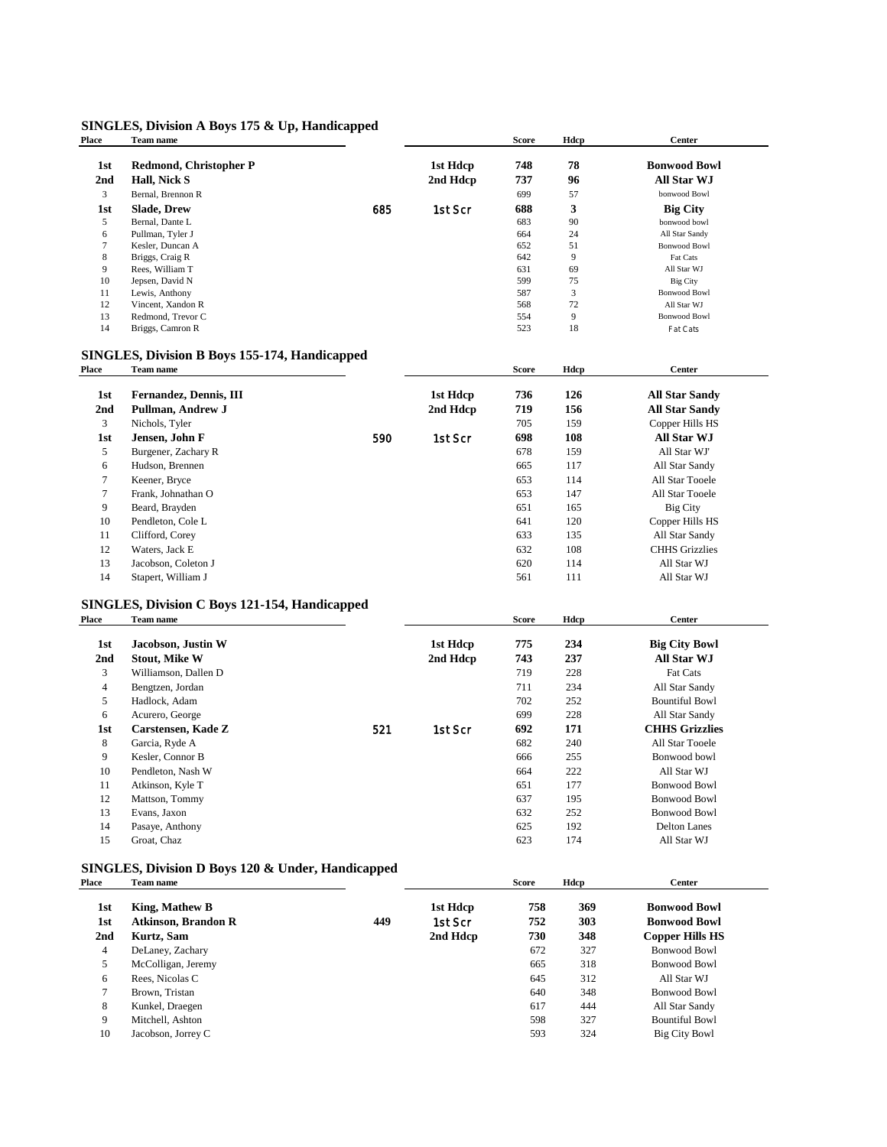### **SINGLES, Division A Boys 175 & Up, Handicapped**

| Place           | Team name                                     |     |          | <b>Score</b> | Hdcp | <b>Center</b>         |  |
|-----------------|-----------------------------------------------|-----|----------|--------------|------|-----------------------|--|
| 1st             | Redmond, Christopher P                        |     | 1st Hdcp | 748          | 78   | <b>Bonwood Bowl</b>   |  |
| 2 <sub>nd</sub> | Hall, Nick S                                  |     | 2nd Hdcp | 737          | 96   | All Star WJ           |  |
| 3               | Bernal, Brennon R                             |     |          | 699          | 57   | bonwood Bowl          |  |
| 1st             | <b>Slade, Drew</b>                            | 685 | 1st Scr  | 688          | 3    | <b>Big City</b>       |  |
| 5               | Bernal, Dante L                               |     |          | 683          | 90   | bonwood bowl          |  |
| 6               | Pullman, Tyler J                              |     |          | 664          | 24   | All Star Sandy        |  |
| 7               | Kesler, Duncan A                              |     |          | 652          | 51   | <b>Bonwood Bowl</b>   |  |
| 8               | Briggs, Craig R                               |     |          | 642          | 9    | Fat Cats              |  |
| 9               | Rees, William T                               |     |          | 631          | 69   | All Star WJ           |  |
| 10              | Jepsen, David N                               |     |          | 599          | 75   | <b>Big City</b>       |  |
| 11              | Lewis, Anthony                                |     |          | 587          | 3    | <b>Bonwood Bowl</b>   |  |
| 12              | Vincent, Xandon R                             |     |          | 568          | 72   | All Star WJ           |  |
| 13              | Redmond, Trevor C                             |     |          | 554          | 9    | <b>Bonwood Bowl</b>   |  |
| 14              | Briggs, Camron R                              |     |          | 523          | 18   | Fat Cats              |  |
|                 | SINGLES, Division B Boys 155-174, Handicapped |     |          |              |      |                       |  |
| Place           | Team name                                     |     |          | <b>Score</b> | Hdcp | Center                |  |
| 1st             | Fernandez, Dennis, III                        |     | 1st Hdcp | 736          | 126  | <b>All Star Sandy</b> |  |
| 2 <sub>nd</sub> | Pullman, Andrew J                             |     | 2nd Hdcp | 719          | 156  | <b>All Star Sandy</b> |  |
| 3               | Nichols, Tyler                                |     |          | 705          | 159  | Copper Hills HS       |  |
| 1st             | Jensen, John F                                | 590 | 1st Scr  | 698          | 108  | All Star WJ           |  |
| 5               | Burgener, Zachary R                           |     |          | 678          | 159  | All Star WJ'          |  |

France 6 Hudson, Brennen and Star Sandy 1. 117 and Star Sandy 1. 117 and Star Sandy 1. 114 all Star Tooele 7 Keener, Bryce 653 114 All Star Tooele 7 Frank, Johnathan O 653 147 All Star Tooele 9 Beard, Brayden 651 165 Big City<br>
10 Pendleton, Cole L<br>
120 Copper Hills HS Pendleton, Cole L<br>
11 120 Copper Hills HS<br>
11 120 Copper Hills HS<br>
11 130 Copper Hills HS<br>
11 130 Copper Hills HS

12 Waters, Jack E 632 108 CHHS Grizzlies 13 Jacobson, Coleton J 620 114 All Star WJ 14 Stapert, William J 561 111 All Star WJ

11 Clifford, Corey 633 135<br>12 Waters, Jack E 632 108

| Place           | Team name            |     |          | <b>Score</b> | Hdcp | Center                |  |
|-----------------|----------------------|-----|----------|--------------|------|-----------------------|--|
| 1st             | Jacobson, Justin W   |     | 1st Hdcp | 775          | 234  | <b>Big City Bowl</b>  |  |
| 2 <sub>nd</sub> | <b>Stout, Mike W</b> |     | 2nd Hdcp | 743          | 237  | All Star WJ           |  |
| 3               | Williamson, Dallen D |     |          | 719          | 228  | <b>Fat Cats</b>       |  |
| $\overline{4}$  | Bengtzen, Jordan     |     |          | 711          | 234  | All Star Sandy        |  |
| 5               | Hadlock, Adam        |     |          | 702          | 252  | <b>Bountiful Bowl</b> |  |
| 6               | Acurero, George      |     |          | 699          | 228  | All Star Sandy        |  |
| 1st             | Carstensen, Kade Z   | 521 | 1st Scr  | 692          | 171  | <b>CHHS Grizzlies</b> |  |
| 8               | Garcia, Ryde A       |     |          | 682          | 240  | All Star Tooele       |  |
| 9               | Kesler, Connor B     |     |          | 666          | 255  | Bonwood bowl          |  |
| 10              | Pendleton, Nash W    |     |          | 664          | 222  | All Star WJ           |  |
| 11              | Atkinson, Kyle T     |     |          | 651          | 177  | <b>Bonwood Bowl</b>   |  |
| 12              | Mattson, Tommy       |     |          | 637          | 195  | Bonwood Bowl          |  |
| 13              | Evans, Jaxon         |     |          | 632          | 252  | <b>Bonwood Bowl</b>   |  |
| 14              | Pasaye, Anthony      |     |          | 625          | 192  | <b>Delton Lanes</b>   |  |
| 15              | Groat, Chaz          |     |          | 623          | 174  | All Star WJ           |  |
|                 |                      |     |          |              |      |                       |  |

### **SINGLES, Division D Boys 120 & Under, Handicapped**

| Place           | Team name                  |     |          | <b>Score</b> | Hdcp | <b>Center</b>         |  |
|-----------------|----------------------------|-----|----------|--------------|------|-----------------------|--|
| 1st             | King, Mathew B             |     | 1st Hdcp | 758          | 369  | <b>Bonwood Bowl</b>   |  |
| 1st             | <b>Atkinson, Brandon R</b> | 449 | 1st Scr  | 752          | 303  | <b>Bonwood Bowl</b>   |  |
| 2 <sub>nd</sub> | Kurtz, Sam                 |     | 2nd Hdcp | 730          | 348  | Copper Hills HS       |  |
| 4               | DeLaney, Zachary           |     |          | 672          | 327  | <b>Bonwood Bowl</b>   |  |
| 5               | McColligan, Jeremy         |     |          | 665          | 318  | <b>Bonwood Bowl</b>   |  |
| 6               | Rees, Nicolas C            |     |          | 645          | 312  | All Star WJ           |  |
| $\overline{7}$  | Brown, Tristan             |     |          | 640          | 348  | <b>Bonwood Bowl</b>   |  |
| 8               | Kunkel, Draegen            |     |          | 617          | 444  | All Star Sandy        |  |
| 9               | Mitchell, Ashton           |     |          | 598          | 327  | <b>Bountiful Bowl</b> |  |
| 10              | Jacobson, Jorrey C         |     |          | 593          | 324  | <b>Big City Bowl</b>  |  |
|                 |                            |     |          |              |      |                       |  |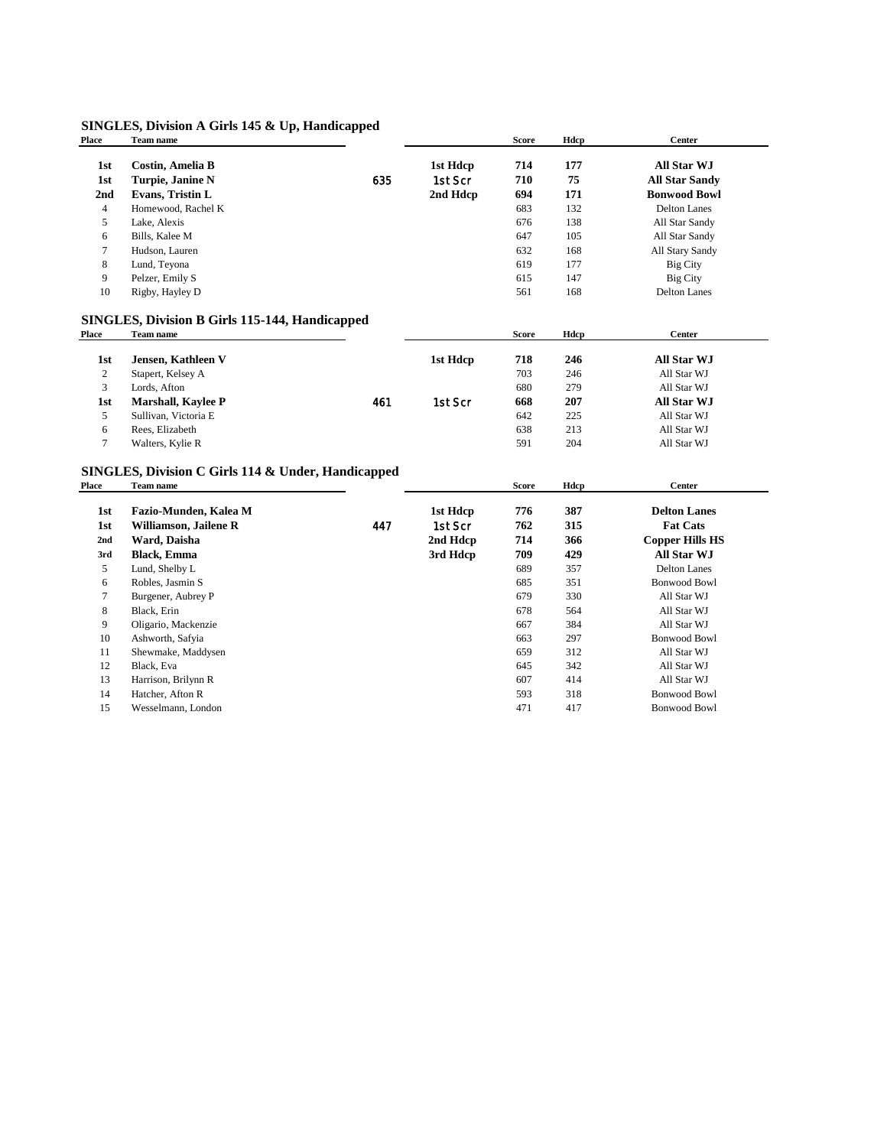### **SINGLES, Division A Girls 145 & Up, Handicapped**

| Place          | Team name                                             |     |          | <b>Score</b> | Hdcp | <b>Center</b>          |
|----------------|-------------------------------------------------------|-----|----------|--------------|------|------------------------|
| 1st            | <b>Costin, Amelia B</b>                               |     | 1st Hdcp | 714          | 177  | All Star WJ            |
| 1st            | Turpie, Janine N                                      | 635 | 1st Scr  | 710          | 75   | <b>All Star Sandy</b>  |
| 2nd            | Evans, Tristin L                                      |     | 2nd Hdcp | 694          | 171  | <b>Bonwood Bowl</b>    |
| $\overline{4}$ | Homewood, Rachel K                                    |     |          | 683          | 132  | <b>Delton Lanes</b>    |
| 5              | Lake, Alexis                                          |     |          | 676          | 138  | All Star Sandy         |
| 6              | Bills, Kalee M                                        |     |          | 647          | 105  | All Star Sandy         |
| 7              | Hudson, Lauren                                        |     |          | 632          | 168  | All Stary Sandy        |
| 8              | Lund, Teyona                                          |     |          | 619          | 177  | <b>Big City</b>        |
| 9              | Pelzer, Emily S                                       |     |          | 615          | 147  | <b>Big City</b>        |
| 10             | Rigby, Hayley D                                       |     |          | 561          | 168  | <b>Delton Lanes</b>    |
|                | <b>SINGLES, Division B Girls 115-144, Handicapped</b> |     |          |              |      |                        |
| <b>Place</b>   | Team name                                             |     |          | <b>Score</b> | Hdcp | <b>Center</b>          |
| 1st            | Jensen, Kathleen V                                    |     | 1st Hdcp | 718          | 246  | <b>All Star WJ</b>     |
| $\overline{c}$ | Stapert, Kelsey A                                     |     |          | 703          | 246  | All Star WJ            |
| 3              | Lords, Afton                                          |     |          | 680          | 279  | All Star WJ            |
| 1st            | <b>Marshall, Kaylee P</b>                             | 461 | 1st Scr  | 668          | 207  | All Star WJ            |
| 5              | Sullivan, Victoria E                                  |     |          | 642          | 225  | All Star WJ            |
| 6              | Rees, Elizabeth                                       |     |          | 638          | 213  | All Star WJ            |
| 7              | Walters, Kylie R                                      |     |          | 591          | 204  | All Star WJ            |
|                | SINGLES, Division C Girls 114 & Under, Handicapped    |     |          |              |      |                        |
| Place          | Team name                                             |     |          | <b>Score</b> | Hdcp | <b>Center</b>          |
| 1st            | Fazio-Munden, Kalea M                                 |     | 1st Hdcp | 776          | 387  | <b>Delton Lanes</b>    |
| 1st            | Williamson, Jailene R                                 | 447 | 1st Scr  | 762          | 315  | <b>Fat Cats</b>        |
| 2nd            | Ward, Daisha                                          |     | 2nd Hdcp | 714          | 366  | <b>Copper Hills HS</b> |
| 3rd            | <b>Black</b> , Emma                                   |     | 3rd Hdcp | 709          | 429  | <b>All Star WJ</b>     |
| 5              | Lund, Shelby L                                        |     |          | 689          | 357  | <b>Delton Lanes</b>    |
| 6              | Robles, Jasmin S                                      |     |          | 685          | 351  | <b>Bonwood Bowl</b>    |
| 7              | Burgener, Aubrey P                                    |     |          | 679          | 330  | All Star WJ            |
| 8              | Black, Erin                                           |     |          | 678          | 564  | All Star WJ            |
| 9              | Oligario, Mackenzie                                   |     |          | 667          | 384  | All Star WJ            |
| 10             | Ashworth, Safyia                                      |     |          | 663          | 297  | <b>Bonwood Bowl</b>    |
| 11             | Shewmake, Maddysen                                    |     |          | 659          | 312  | All Star WJ            |
| 12             | Black, Eva                                            |     |          | 645          | 342  | All Star WJ            |
| 13             | Harrison, Brilynn R                                   |     |          | 607          | 414  | All Star WJ            |
| 14             | Hatcher, Afton R                                      |     |          | 593          | 318  | <b>Bonwood Bowl</b>    |
| 15             | Wesselmann, London                                    |     |          | 471          | 417  | <b>Bonwood Bowl</b>    |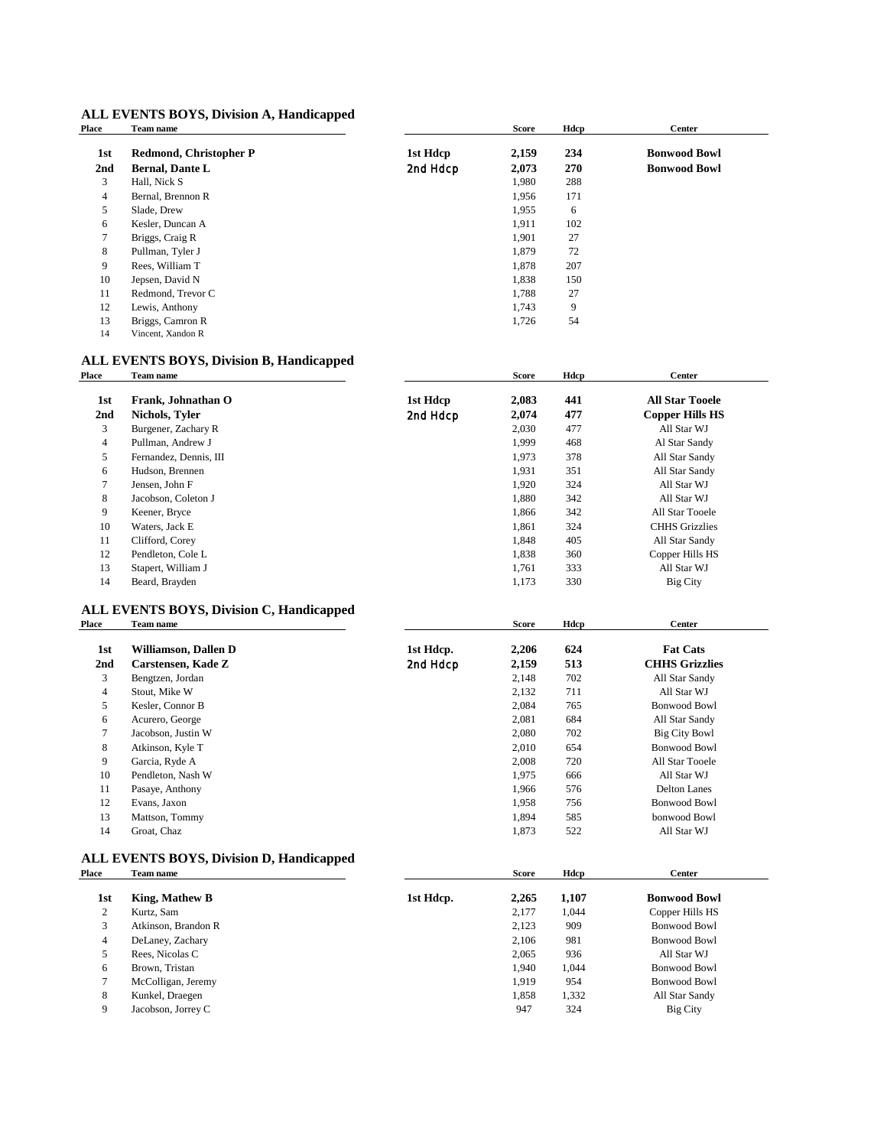### **ALL EVENTS BOYS, Division A, Handicapped**<br>Place Team name

| Place           | Team name              |          | <b>Score</b> | Hdcp | <b>Center</b>       |  |
|-----------------|------------------------|----------|--------------|------|---------------------|--|
| 1st             | Redmond, Christopher P | 1st Hdcp | 2,159        | 234  | <b>Bonwood Bowl</b> |  |
| 2 <sub>nd</sub> | <b>Bernal, Dante L</b> | 2nd Hdcp | 2,073        | 270  | <b>Bonwood Bowl</b> |  |
| 3               | Hall, Nick S           |          | 1,980        | 288  |                     |  |
| 4               | Bernal, Brennon R      |          | 1,956        | 171  |                     |  |
| 5               | Slade, Drew            |          | 1,955        | 6    |                     |  |
| 6               | Kesler, Duncan A       |          | 1,911        | 102  |                     |  |
| 7               | Briggs, Craig R        |          | 1,901        | 27   |                     |  |
| 8               | Pullman, Tyler J       |          | 1,879        | 72   |                     |  |
| 9               | Rees, William T        |          | 1,878        | 207  |                     |  |
| 10              | Jepsen, David N        |          | 1,838        | 150  |                     |  |
| 11              | Redmond, Trevor C      |          | 1,788        | 27   |                     |  |
| 12              | Lewis, Anthony         |          | 1,743        | 9    |                     |  |
| 13              | Briggs, Camron R       |          | 1,726        | 54   |                     |  |
| 14              | Vincent, Xandon R      |          |              |      |                     |  |

## **ALL EVENTS BOYS, Division B, Handicapped**<br>Place Team name

| Team name              |          | <b>Score</b> | Hdcp | <b>Center</b>          |  |
|------------------------|----------|--------------|------|------------------------|--|
| Frank, Johnathan O     | 1st Hdcp | 2,083        | 441  | <b>All Star Tooele</b> |  |
| Nichols, Tyler         | 2nd Hdcp | 2,074        | 477  | <b>Copper Hills HS</b> |  |
| Burgener, Zachary R    |          | 2,030        | 477  | All Star WJ            |  |
| Pullman, Andrew J      |          | 1,999        | 468  | Al Star Sandy          |  |
| Fernandez, Dennis, III |          | 1,973        | 378  | All Star Sandy         |  |
| Hudson, Brennen        |          | 1,931        | 351  | All Star Sandy         |  |
| Jensen, John F         |          | 1,920        | 324  | All Star WJ            |  |
| Jacobson, Coleton J    |          | 1,880        | 342  | All Star WJ            |  |
| Keener, Bryce          |          | 1,866        | 342  | All Star Tooele        |  |
| Waters, Jack E         |          | 1,861        | 324  | <b>CHHS</b> Grizzlies  |  |
| Clifford, Corey        |          | 1,848        | 405  | All Star Sandy         |  |
| Pendleton, Cole L      |          | 1,838        | 360  | Copper Hills HS        |  |
| Stapert, William J     |          | 1,761        | 333  | All Star WJ            |  |
| Beard, Brayden         |          | 1,173        | 330  | <b>Big City</b>        |  |
|                        |          |              |      |                        |  |

### **ALL EVENTS BOYS, Division C, Handicapped**

| Place          | Team name            |           | Score | Hdcp | <b>Center</b>         |  |
|----------------|----------------------|-----------|-------|------|-----------------------|--|
| 1st            | Williamson, Dallen D | 1st Hdcp. | 2,206 | 624  | <b>Fat Cats</b>       |  |
| 2nd            | Carstensen, Kade Z   | 2nd Hdcp  | 2,159 | 513  | <b>CHHS Grizzlies</b> |  |
| 3              | Bengtzen, Jordan     |           | 2,148 | 702  | All Star Sandy        |  |
| 4              | Stout, Mike W        |           | 2,132 | 711  | All Star WJ           |  |
| 5              | Kesler, Connor B     |           | 2,084 | 765  | <b>Bonwood Bowl</b>   |  |
| 6              | Acurero, George      |           | 2,081 | 684  | All Star Sandy        |  |
| $\overline{7}$ | Jacobson, Justin W   |           | 2,080 | 702  | <b>Big City Bowl</b>  |  |
| 8              | Atkinson, Kyle T     |           | 2,010 | 654  | <b>Bonwood Bowl</b>   |  |
| 9              | Garcia, Ryde A       |           | 2,008 | 720  | All Star Tooele       |  |
| 10             | Pendleton, Nash W    |           | 1,975 | 666  | All Star WJ           |  |
| 11             | Pasaye, Anthony      |           | 1,966 | 576  | Delton Lanes          |  |
| 12             | Evans, Jaxon         |           | 1,958 | 756  | <b>Bonwood Bowl</b>   |  |
| 13             | Mattson, Tommy       |           | 1,894 | 585  | bonwood Bowl          |  |
| 14             | Groat, Chaz          |           | 1,873 | 522  | All Star WJ           |  |
|                |                      |           |       |      |                       |  |

# **ALL EVENTS BOYS, Division D, Handicapped**<br>Place Team name

| Place | Team name             |           | <b>Score</b> | Hdcp  | <b>Center</b>       |  |
|-------|-----------------------|-----------|--------------|-------|---------------------|--|
| 1st   | <b>King, Mathew B</b> | 1st Hdcp. | 2,265        | 1,107 | <b>Bonwood Bowl</b> |  |
| 2     | Kurtz, Sam            |           | 2,177        | 1,044 | Copper Hills HS     |  |
| 3     | Atkinson, Brandon R   |           | 2,123        | 909   | <b>Bonwood Bowl</b> |  |
| 4     | DeLaney, Zachary      |           | 2.106        | 981   | <b>Bonwood Bowl</b> |  |
| 5     | Rees, Nicolas C       |           | 2,065        | 936   | All Star WJ         |  |
| 6     | Brown, Tristan        |           | 1,940        | 1.044 | <b>Bonwood Bowl</b> |  |
| 7     | McColligan, Jeremy    |           | 1,919        | 954   | <b>Bonwood Bowl</b> |  |
| 8     | Kunkel, Draegen       |           | 1,858        | 1,332 | All Star Sandy      |  |
| 9     | Jacobson, Jorrey C    |           | 947          | 324   | Big City            |  |
|       |                       |           |              |       |                     |  |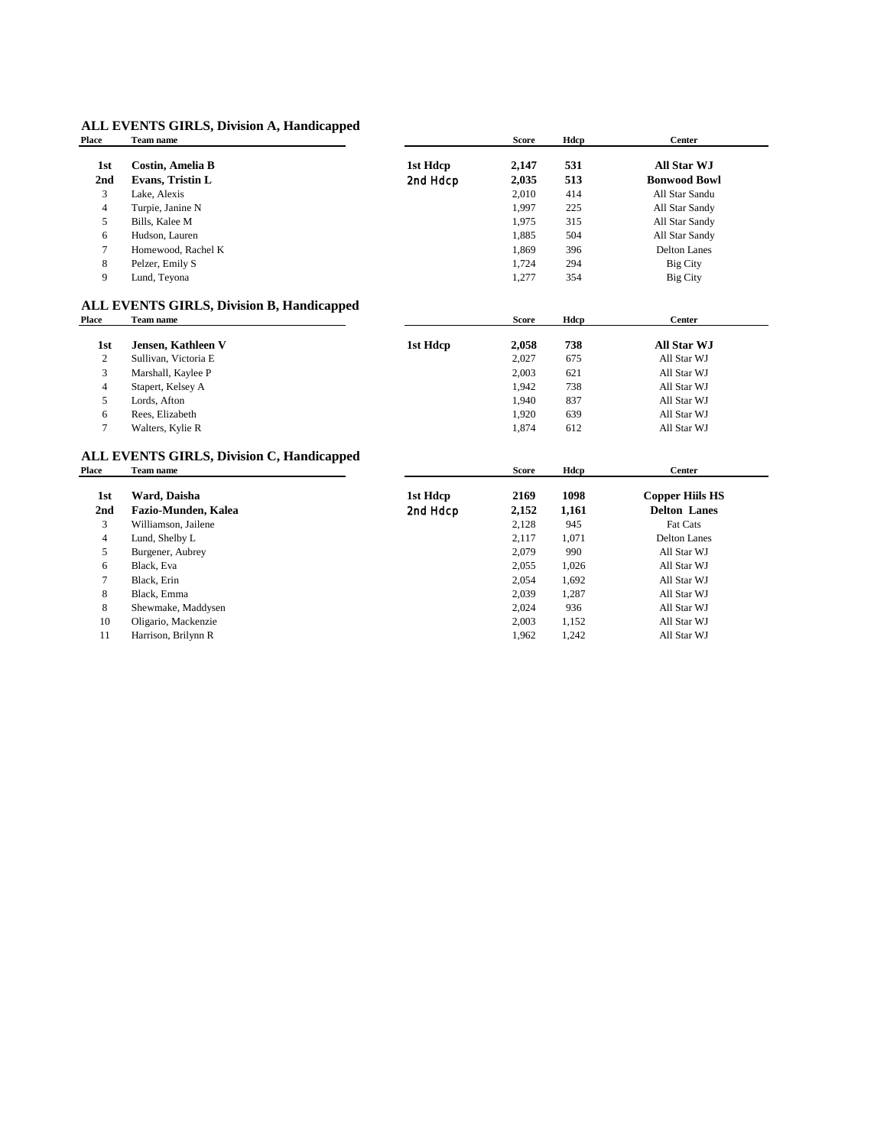### **ALL EVENTS GIRLS, Division A, Handicapped**

| <b>Place</b>     | Team name                                        |          | <b>Score</b> | Hdcp  | <b>Center</b>          |
|------------------|--------------------------------------------------|----------|--------------|-------|------------------------|
| 1st              | <b>Costin, Amelia B</b>                          | 1st Hdcp | 2,147        | 531   | <b>All Star WJ</b>     |
| 2nd              | Evans, Tristin L                                 | 2nd Hdcp | 2,035        | 513   | <b>Bonwood Bowl</b>    |
| 3                | Lake, Alexis                                     |          | 2,010        | 414   | All Star Sandu         |
| 4                | Turpie, Janine N                                 |          | 1,997        | 225   | All Star Sandy         |
| 5                | Bills, Kalee M                                   |          | 1,975        | 315   | All Star Sandy         |
| 6                | Hudson, Lauren                                   |          | 1,885        | 504   | All Star Sandy         |
| 7                | Homewood, Rachel K                               |          | 1,869        | 396   | <b>Delton Lanes</b>    |
| 8                | Pelzer, Emily S                                  |          | 1,724        | 294   | <b>Big City</b>        |
| 9                | Lund, Teyona                                     |          | 1,277        | 354   | <b>Big City</b>        |
|                  | <b>ALL EVENTS GIRLS, Division B, Handicapped</b> |          |              |       |                        |
| Place            | Team name                                        |          | <b>Score</b> | Hdcp  | <b>Center</b>          |
| 1st              | Jensen, Kathleen V                               | 1st Hdcp | 2,058        | 738   | <b>All Star WJ</b>     |
| $\boldsymbol{2}$ | Sullivan, Victoria E                             |          | 2,027        | 675   | All Star WJ            |
| 3                | Marshall, Kaylee P                               |          | 2,003        | 621   | All Star WJ            |
| 4                | Stapert, Kelsey A                                |          | 1,942        | 738   | All Star WJ            |
| 5                | Lords, Afton                                     |          | 1,940        | 837   | All Star WJ            |
| 6                | Rees, Elizabeth                                  |          | 1,920        | 639   | All Star WJ            |
| $\overline{7}$   | Walters, Kylie R                                 |          | 1,874        | 612   | All Star WJ            |
|                  | <b>ALL EVENTS GIRLS, Division C, Handicapped</b> |          |              |       |                        |
| <b>Place</b>     | Team name                                        |          | <b>Score</b> | Hdcp  | <b>Center</b>          |
| 1st              | Ward, Daisha                                     | 1st Hdcp | 2169         | 1098  | <b>Copper Hiils HS</b> |
| 2nd              | Fazio-Munden, Kalea                              | 2nd Hdcp | 2,152        | 1,161 | <b>Delton Lanes</b>    |
| 3                | Williamson, Jailene                              |          | 2,128        | 945   | Fat Cats               |
| 4                | Lund, Shelby L                                   |          | 2,117        | 1,071 | <b>Delton Lanes</b>    |
| 5                | Burgener, Aubrey                                 |          | 2,079        | 990   | All Star WJ            |
| 6                | Black, Eva                                       |          | 2,055        | 1,026 | All Star WJ            |
| 7                | Black, Erin                                      |          | 2,054        | 1,692 | All Star WJ            |
| 8                | Black, Emma                                      |          | 2,039        | 1,287 | All Star WJ            |
| 8                | Shewmake, Maddysen                               |          | 2,024        | 936   | All Star WJ            |
| 10               | Oligario, Mackenzie                              |          | 2,003        | 1,152 | All Star WJ            |
| 11               | Harrison, Brilynn R                              |          | 1,962        | 1,242 | All Star WJ            |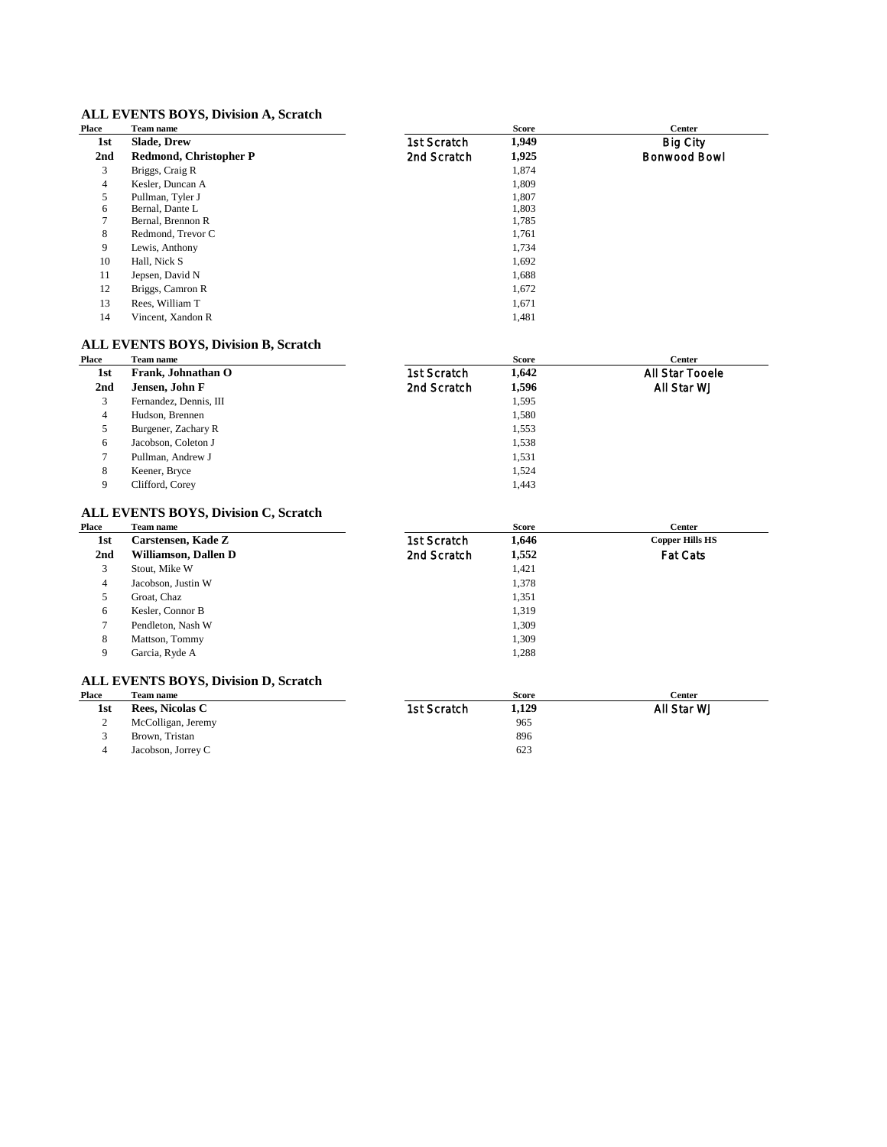### **ALL EVENTS BOYS, Division A, Scratch**

| 1,949<br>1st Scratch<br><b>Slade, Drew</b><br>Big City<br>1st<br>2nd<br>Redmond, Christopher P<br>2nd Scratch<br>1,925<br>Bonwood Bowl<br>3<br>Briggs, Craig R<br>1,874 |  |
|-------------------------------------------------------------------------------------------------------------------------------------------------------------------------|--|
|                                                                                                                                                                         |  |
|                                                                                                                                                                         |  |
|                                                                                                                                                                         |  |
| 1,809<br>4<br>Kesler, Duncan A                                                                                                                                          |  |
| 5<br>1,807<br>Pullman, Tyler J                                                                                                                                          |  |
| 6<br>Bernal, Dante L<br>1,803                                                                                                                                           |  |
| 7<br>Bernal, Brennon R<br>1,785                                                                                                                                         |  |
| 8<br>Redmond, Trevor C<br>1,761                                                                                                                                         |  |
| 9<br>1,734<br>Lewis, Anthony                                                                                                                                            |  |
| 10<br>1,692<br>Hall, Nick S                                                                                                                                             |  |
| 11<br>1,688<br>Jepsen, David N                                                                                                                                          |  |
| 12<br>Briggs, Camron R<br>1,672                                                                                                                                         |  |
| 13<br>Rees, William T<br>1,671                                                                                                                                          |  |
| 14<br>1,481<br>Vincent, Xandon R                                                                                                                                        |  |

### **ALL EVENTS BOYS, Division B, Scratch**

| Place           | Team name              |             | <b>Score</b> | Center          |
|-----------------|------------------------|-------------|--------------|-----------------|
| 1st             | Frank, Johnathan O     | 1st Scratch | 1,642        | All Star Tooele |
| 2 <sub>nd</sub> | Jensen, John F         | 2nd Scratch | 1,596        | All Star WJ     |
| 3               | Fernandez, Dennis, III |             | 1,595        |                 |
| 4               | Hudson, Brennen        |             | 1,580        |                 |
| 5               | Burgener, Zachary R    |             | 1,553        |                 |
| 6               | Jacobson, Coleton J    |             | 1,538        |                 |
|                 | Pullman, Andrew J      |             | 1,531        |                 |
| 8               | Keener, Bryce          |             | 1,524        |                 |
| 9               | Clifford, Corey        |             | 1.443        |                 |

### **ALL EVENTS BOYS, Division C, Scratch**

| Place           | Team name            |             | <b>Score</b> | Center                 |
|-----------------|----------------------|-------------|--------------|------------------------|
| 1st             | Carstensen, Kade Z   | 1st Scratch | 1,646        | <b>Copper Hills HS</b> |
| 2 <sub>nd</sub> | Williamson, Dallen D | 2nd Scratch | 1,552        | <b>Fat Cats</b>        |
| 3               | Stout, Mike W        |             | 1,421        |                        |
| $\overline{4}$  | Jacobson, Justin W   |             | 1,378        |                        |
| 5               | Groat, Chaz          |             | 1,351        |                        |
| 6               | Kesler, Connor B     |             | 1,319        |                        |
| $\overline{7}$  | Pendleton, Nash W    |             | 1,309        |                        |
| 8               | Mattson, Tommy       |             | 1.309        |                        |
| 9               | Garcia, Ryde A       |             | 1,288        |                        |

### **ALL EVENTS BOYS, Division D, Scratch**

| Place | Team name              |             | <b>Score</b> | Center      |
|-------|------------------------|-------------|--------------|-------------|
| 1st   | <b>Rees, Nicolas C</b> | 1st Scratch | 1,129        | All Star WJ |
| ∼     | McColligan, Jeremy     |             | 965          |             |
|       | Brown, Tristan         |             | 896          |             |
|       | Jacobson, Jorrey C     |             | 623          |             |